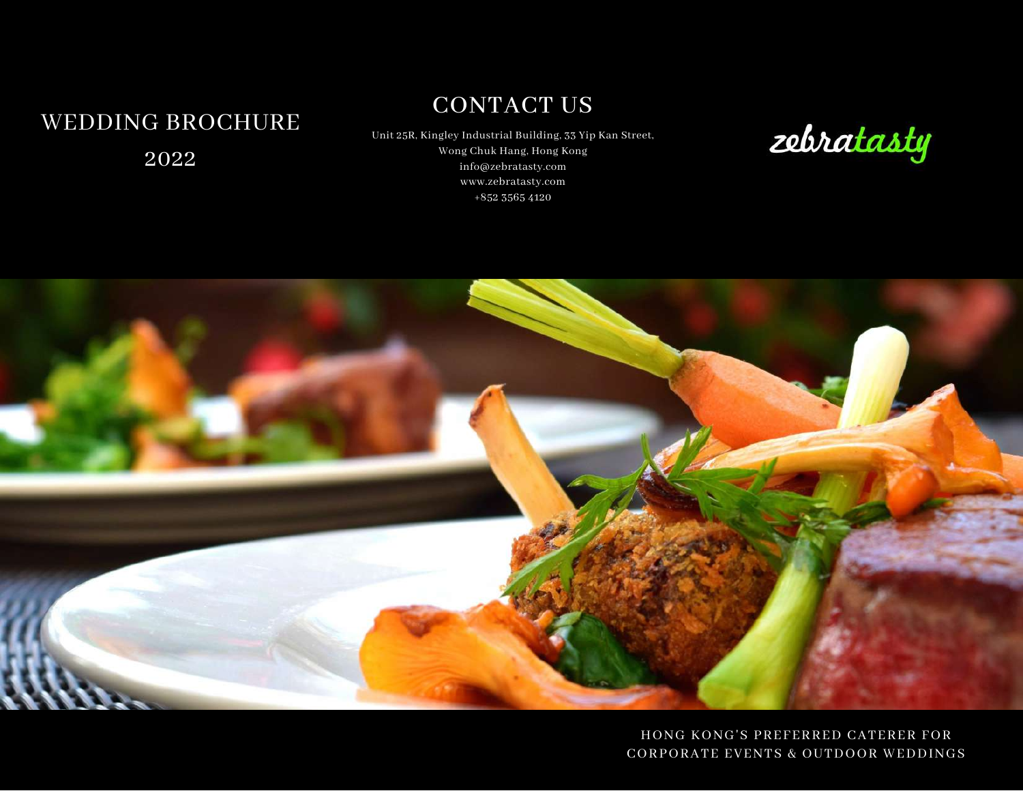# WEDDING BROCHURE 2022

# CONTACT US

Unit 25R, Kingley Industrial Building, 33 Yip Kan Street, Wong Chuk Hang, Hong Kong info@zebratasty.com www.zebratasty.com +852 3565 4120





HONG KONG'S PREFERRED CATERER FOR CORPORATE EVENTS & OUTDOOR WEDDINGS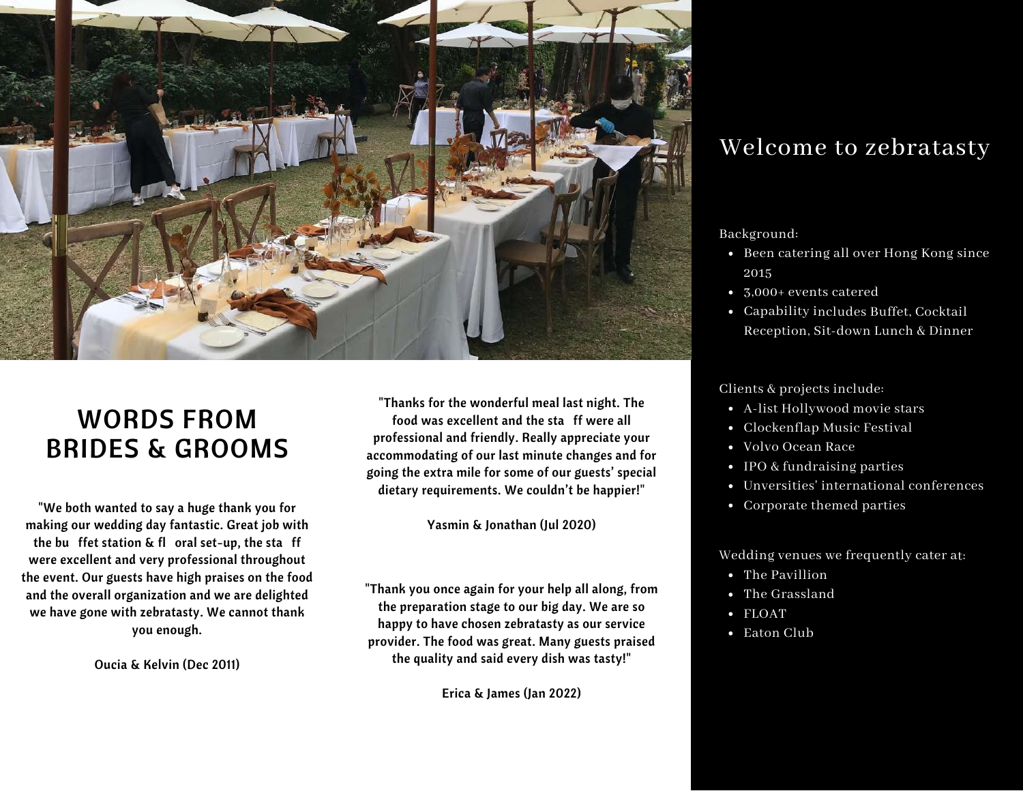

# WORDS FROM BRIDES & GROOMS

"We both wanted to say a huge thank you for making our wedding day fantastic. Great job with the bu ffet station & fl oral set-up, the sta ff were excellent and very professional throughout the event. Our guests have high praises on the food and the overall organization and we are delighted we have gone with zebratasty. We cannot thank you enough.

Oucia & Kelvin (Dec 2011)

"Thanks for the wonderful meal last night. The food was excellent and the sta ff were all professional and friendly. Really appreciate your accommodating of our last minute changes and for going the extra mile for some of our guests' special dietary requirements. We couldn't be happier!"

Yasmin & Jonathan (Jul 2020)

"Thank you once again for your help all along, from the preparation stage to our big day. We are so happy to have chosen zebratasty as our service provider. The food was great. Many guests praised the quality and said every dish was tasty!"

Erica & James (Jan 2022)

# Welcome to zebratasty

Background:

- Been catering all over Hong Kong since 2015
- 3,000+ events catered
- Capability includes Buffet, Cocktail Reception, Sit-down Lunch & Dinner

Clients & projects include:

- A-list Hollywood movie stars
- Clockenflap Music Festival
- Volvo Ocean Race
- IPO & fundraising parties
- Unversities' international conferences
- Corporate themed parties

Wedding venues we frequently cater at:

- The Pavillion
- The Grassland
- FLOAT
- Eaton Club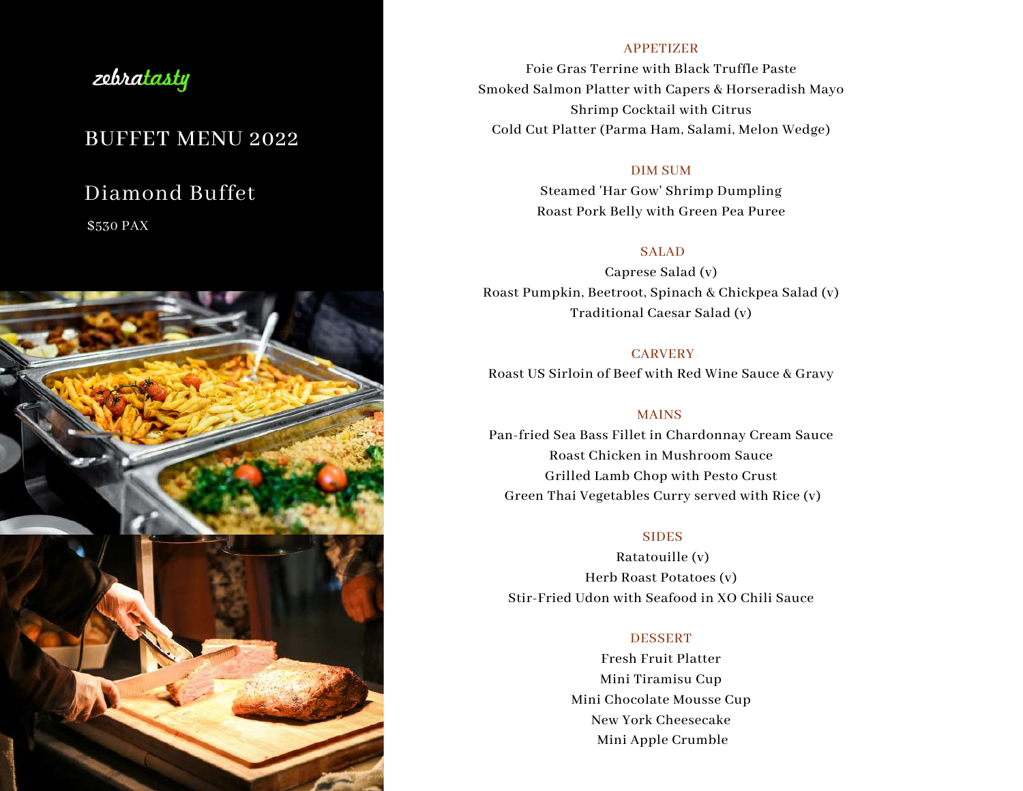# zebratasty

# BUFFET MENU 2022

# Diamond Buffet

\$530 PAX



### APPETIZER

Foie Gras Terrine with Black Truffle Paste Smoked Salmon Platter with Capers & Horseradish Mayo Shrimp Cocktail with Citrus Cold Cut Platter (Parma Ham, Salami, Melon Wedge)

### DIM SUM

Steamed 'Har Gow' Shrimp Dumpling Roast Pork Belly with Green Pea Puree

### SALAD

Caprese Salad (v) Roast Pumpkin, Beetroot, Spinach & Chickpea Salad (v) Traditional Caesar Salad (v)

### **CARVERY**

Roast US Sirloin of Beef with Red Wine Sauce & Gravy

### MAINS

Pan-fried Sea Bass Fillet in Chardonnay Cream Sauce Roast Chicken in Mushroom Sauce Grilled Lamb Chop with Pesto Crust Green Thai Vegetables Curry served with Rice (v)

### **SIDES**

Ratatouille (v) Herb Roast Potatoes (v) Stir-Fried Udon with Seafood in XO Chili Sauce

### DESSERT

Fresh Fruit Platter Mini Tiramisu Cup Mini Chocolate Mousse Cup New York Cheesecake Mini Apple Crumble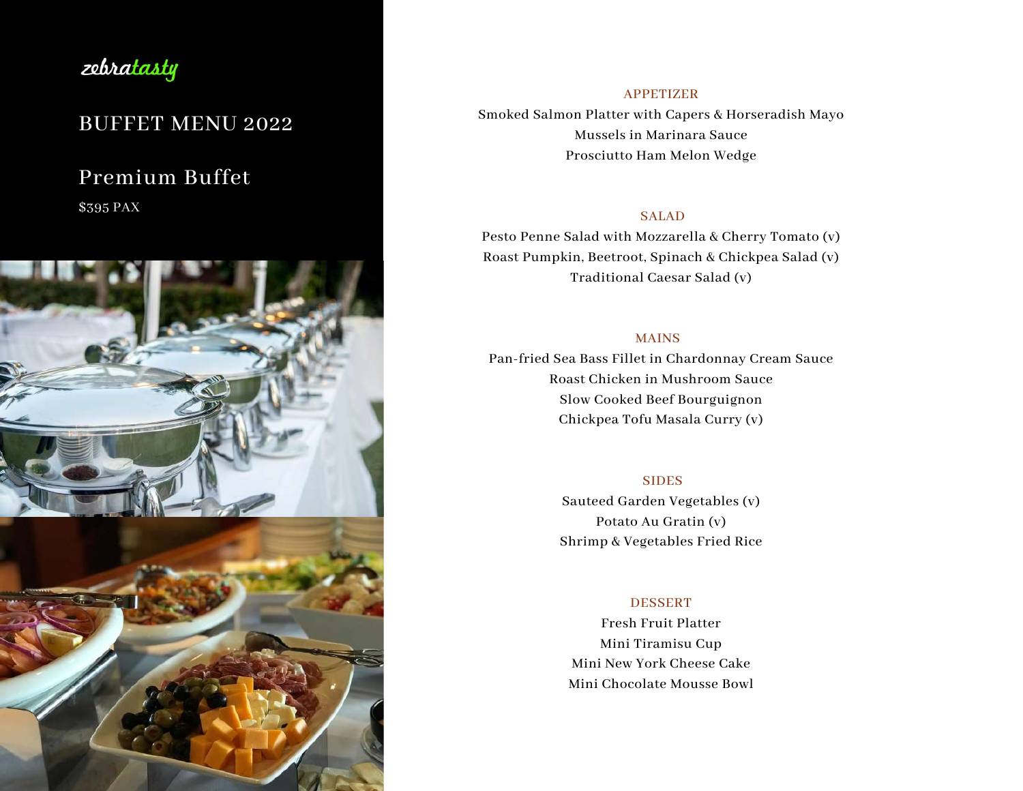

# BUFFET MENU 2022

# Premium Buffet

\$395 PAX



## APPETIZER Smoked Salmon Platter with Capers & Horseradish Mayo Mussels in Marinara Sauce Prosciutto Ham Melon Wedge

### SALAD

Pesto Penne Salad with Mozzarella & Cherry Tomato (v) Roast Pumpkin, Beetroot, Spinach & Chickpea Salad (v) Traditional Caesar Salad (v)

### MAINS

Pan-fried Sea Bass Fillet in Chardonnay Cream Sauce Roast Chicken in Mushroom Sauce Slow Cooked Beef Bourguignon Chickpea Tofu Masala Curry (v)

### **SIDES**

Sauteed Garden Vegetables (v) Potato Au Gratin (v) Shrimp & Vegetables Fried Rice

### **DESSERT**

Fresh Fruit Platter Mini Tiramisu Cup Mini New York Cheese Cake Mini Chocolate Mousse Bowl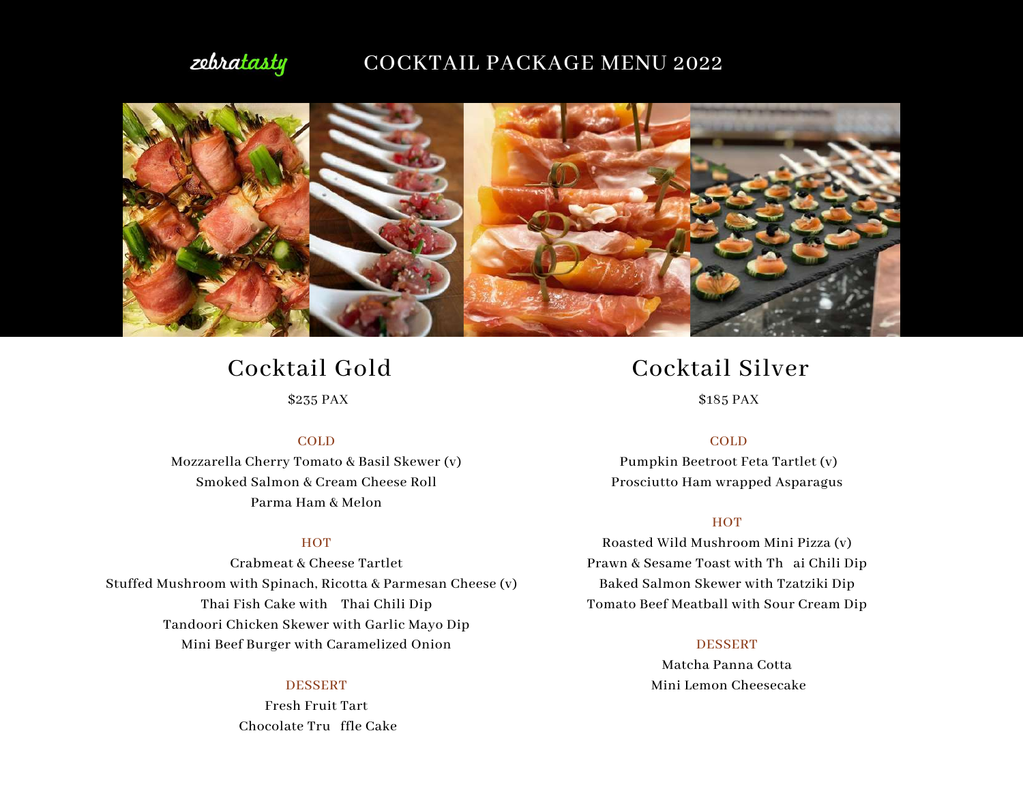# zebratasty

# COCKTAIL PACKAGE MENU 2022



# Cocktail Gold

\$235 PAX

#### COLD

Mozzarella Cherry Tomato & Basil Skewer (v) Smoked Salmon & Cream Cheese Roll Parma Ham & Melon

### **HOT**

Crabmeat & Cheese Tartlet Stuffed Mushroom with Spinach, Ricotta & Parmesan Cheese (v) Thai Fish Cake with Thai Chili Dip Tandoori Chicken Skewer with Garlic Mayo Dip Mini Beef Burger with Caramelized Onion

#### **DESSERT**

Fresh Fruit Tart Chocolate Tru ffle Cake

# Cocktail Silver

\$185 PAX

#### COLD

Pumpkin Beetroot Feta Tartlet (v) Prosciutto Ham wrapped Asparagus

### **HOT**

Roasted Wild Mushroom Mini Pizza (v) Prawn & Sesame Toast with Th ai Chili Dip Baked Salmon Skewer with Tzatziki Dip Tomato Beef Meatball with Sour Cream Dip

#### DESSERT

Matcha Panna Cotta Mini Lemon Cheesecake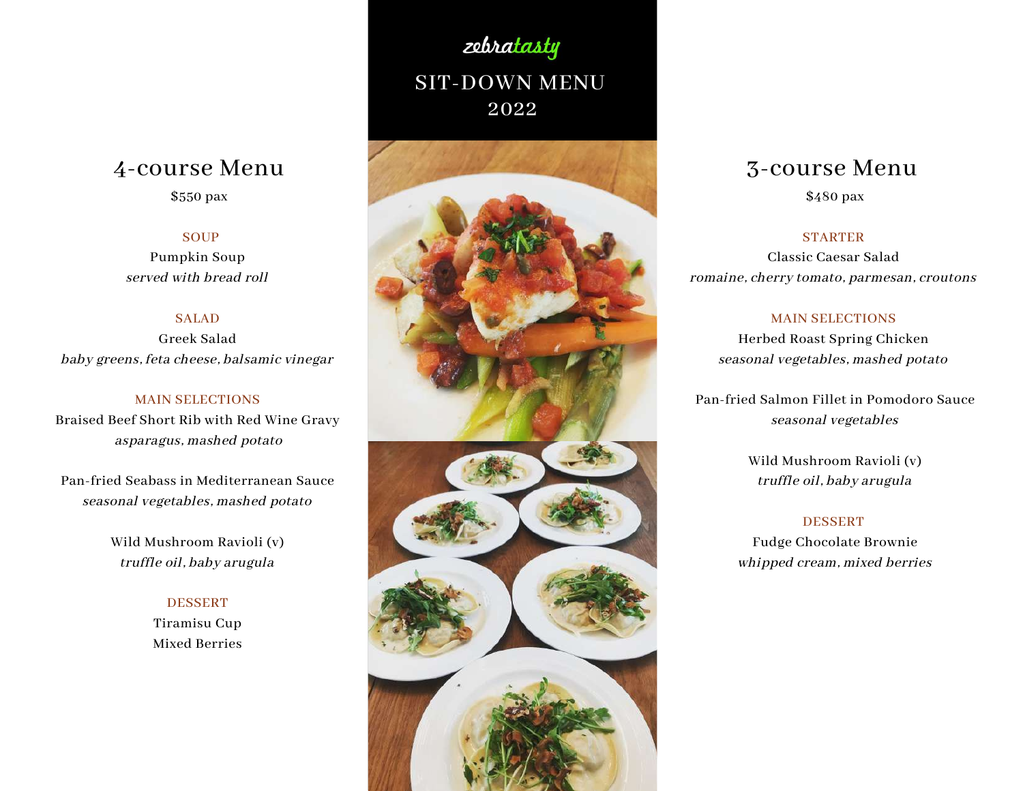# 4-course Menu

### \$550 pax

### **SOUP**

Pumpkin Soup served with bread roll

### **SALAD**

Greek Salad baby greens, feta cheese, balsamic vinegar

### MAIN SELECTIONS

Braised Beef Short Rib with Red Wine Gravy asparagus, mashed potato

Pan-fried Seabass in Mediterranean Sauce seasonal vegetables, mashed potato

> Wild Mushroom Ravioli (v) truffle oil, baby arugula

### DESSERT

Tiramisu Cup Mixed Berries

# SIT-DOWN MENU 2022

zebratasty



# 3-course Menu

\$480 pax

### **STARTER**

Classic Caesar Salad romaine, cherry tomato, parmesan, croutons

#### MAIN SELECTIONS

Herbed Roast Spring Chicken seasonal vegetables, mashed potato

Pan-fried Salmon Fillet in Pomodoro Sauce seasonal vegetables

> Wild Mushroom Ravioli (v) truffle oil, baby arugula

#### **DESSERT**

Fudge Chocolate Brownie whipped cream, mixed berries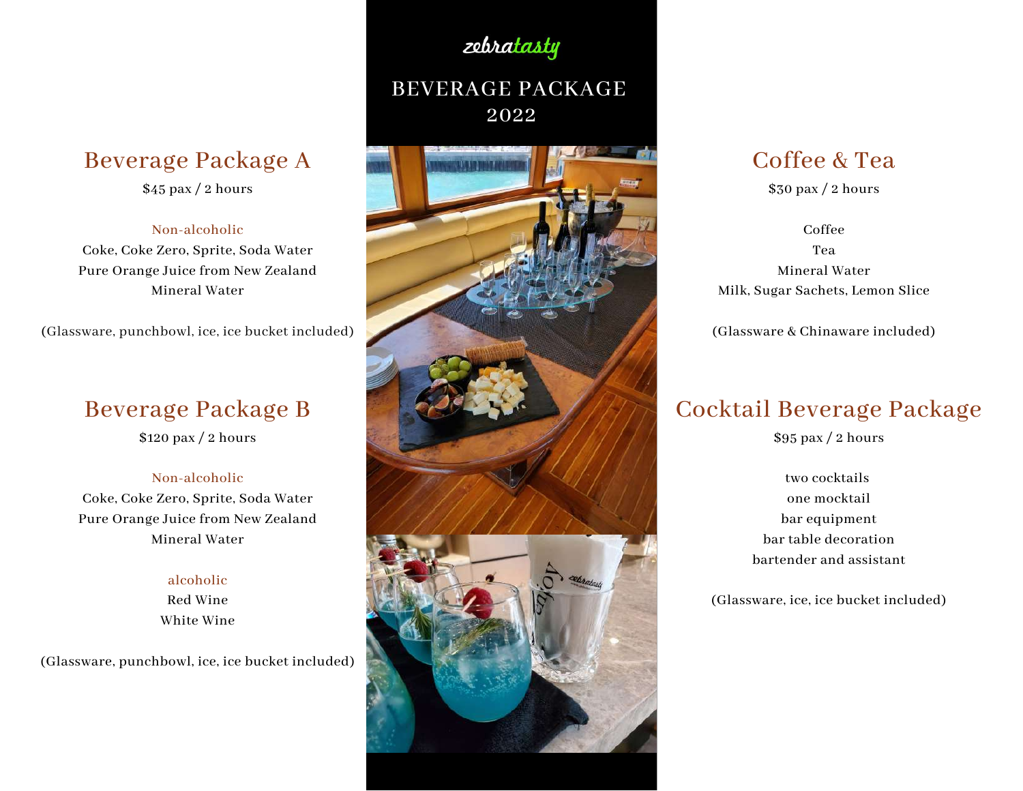# Beverage Package A

 $$45$  pax / 2 hours

### Non-alcoholic

Coke, Coke Zero, Sprite, Soda Water Pure Orange Juice from New Zealand Mineral Water

(Glassware, punchbowl, ice, ice bucket included)

# Beverage Package B

\$120 pax / 2 hours

### Non-alcoholic

Coke, Coke Zero, Sprite, Soda Water Pure Orange Juice from New Zealand Mineral Water

### alcoholic

Red Wine White Wine

(Glassware, punchbowl, ice, ice bucket included)

# BEVERAGE PACKAGE

zebratasty

2022



# Coffee & Tea

\$30 pax / 2 hours

Coffee Tea Mineral Water Milk, Sugar Sachets, Lemon Slice

(Glassware & Chinaware included)

# Cocktail Beverage Package

\$95 pax / 2 hours

two cocktails one mocktail bar equipment bar table decoration bartender and assistant

(Glassware, ice, ice bucket included)